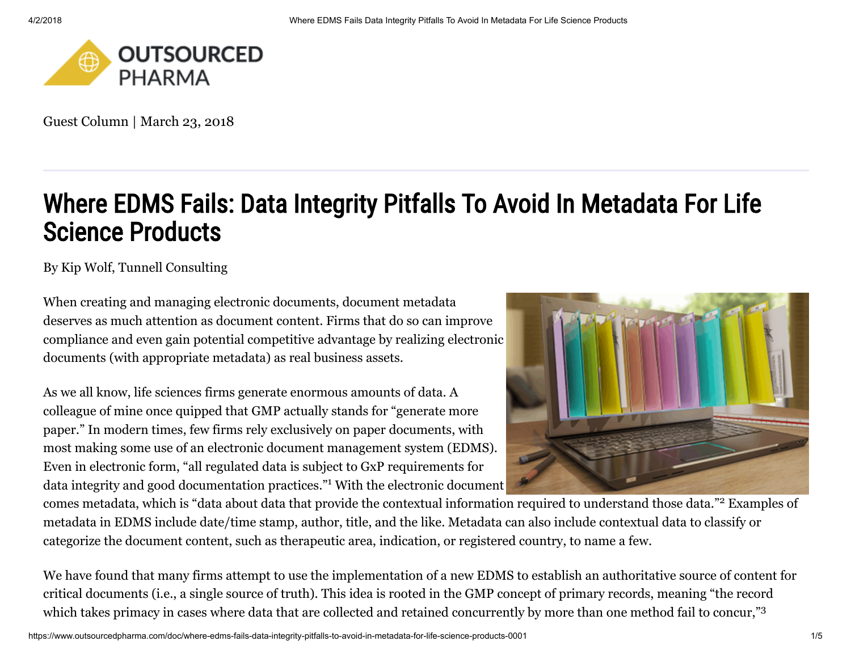

Guest Column | March 23, 2018

# Where EDMS Fails: Data Integrity Pitfalls To Avoid In Metadata For Life Science Products

By [Kip Wolf](https://www.outsourcedpharma.com/author/kip-wolf), Tunnell Consulting

When creating and managing electronic documents, document metadata deserves as much attention as document content. Firms that do so can improve compliance and even gain potential competitive advantage by realizing electronic documents (with appropriate metadata) as real business assets.

As we all know, life sciences firms generate enormous amounts of data. A colleague of mine once quipped that GMP actually stands for "generate more paper." In modern times, few firms rely exclusively on paper documents, with most making some use of an electronic document management system (EDMS). Even in electronic form, "all regulated data is subject to GxP requirements for data integrity and good documentation practices."<sup>1</sup> With the electronic document



comes metadata, which is "data about data that provide the contextual information required to understand those data."<sup>2</sup> Examples of metadata in EDMS include date/time stamp, author, title, and the like. Metadata can also include contextual data to classify or categorize the document content, such as therapeutic area, indication, or registered country, to name a few.

We have found that many firms attempt to use the implementation of a new EDMS to establish an authoritative source of content for critical documents (i.e., a single source of truth). This idea is rooted in the GMP concept of primary records, meaning "the record which takes primacy in cases where data that are collected and retained concurrently by more than one method fail to concur,"<sup>3</sup>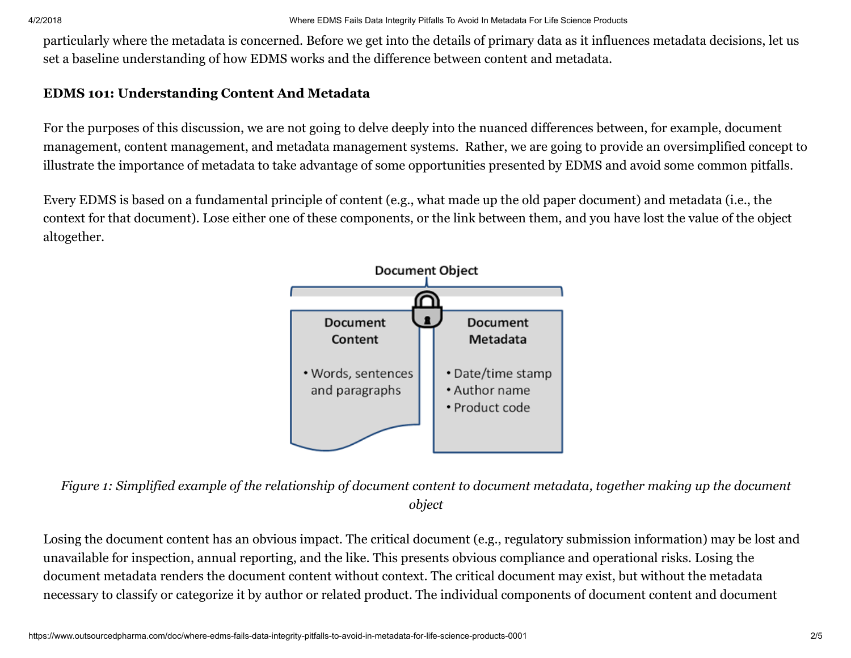particularly where the metadata is concerned. Before we get into the details of primary data as it influences metadata decisions, let us set a baseline understanding of how EDMS works and the difference between content and metadata.

# EDMS 101: Understanding Content And Metadata

For the purposes of this discussion, we are not going to delve deeply into the nuanced differences between, for example, document management, content management, and metadata management systems. Rather, we are going to provide an oversimplified concept to illustrate the importance of metadata to take advantage of some opportunities presented by EDMS and avoid some common pitfalls.

Every EDMS is based on a fundamental principle of content (e.g., what made up the old paper document) and metadata (i.e., the context for that document). Lose either one of these components, or the link between them, and you have lost the value of the object altogether.



*Figure 1: Simplified example of the relationship of document content to document metadata, together making up the document object*

Losing the document content has an obvious impact. The critical document (e.g., regulatory submission information) may be lost and unavailable for inspection, annual reporting, and the like. This presents obvious compliance and operational risks. Losing the document metadata renders the document content without context. The critical document may exist, but without the metadata necessary to classify or categorize it by author or related product. The individual components of document content and document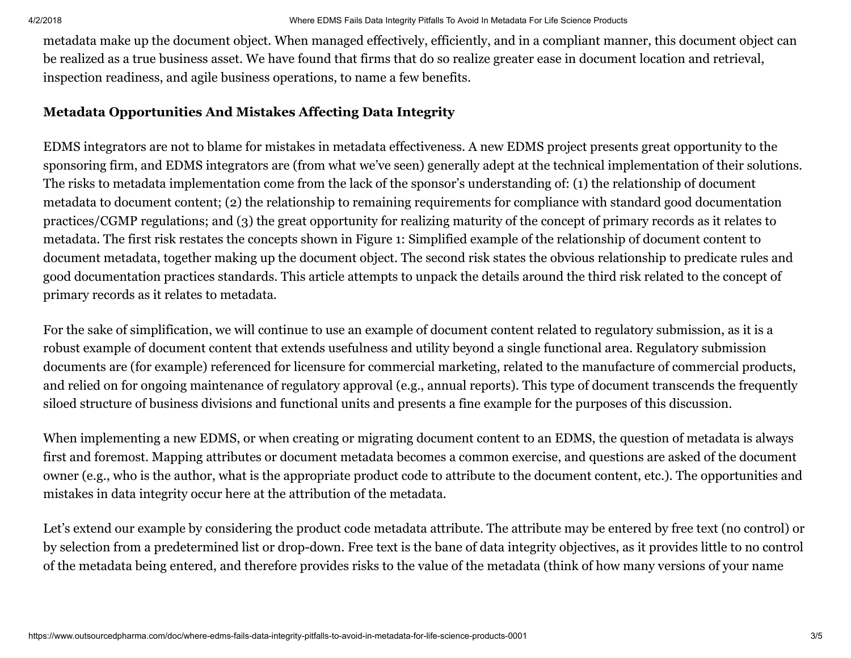metadata make up the document object. When managed effectively, efficiently, and in a compliant manner, this document object can be realized as a true business asset. We have found that firms that do so realize greater ease in document location and retrieval, inspection readiness, and agile business operations, to name a few benefits.

# Metadata Opportunities And Mistakes Affecting Data Integrity

EDMS integrators are not to blame for mistakes in metadata effectiveness. A new EDMS project presents great opportunity to the sponsoring firm, and EDMS integrators are (from what we've seen) generally adept at the technical implementation of their solutions. The risks to metadata implementation come from the lack of the sponsor's understanding of: (1) the relationship of document metadata to document content; (2) the relationship to remaining requirements for compliance with standard good documentation practices/CGMP regulations; and (3) the great opportunity for realizing maturity of the concept of primary records as it relates to metadata. The first risk restates the concepts shown in Figure 1: Simplified example of the relationship of document content to document metadata, together making up the document object. The second risk states the obvious relationship to predicate rules and good documentation practices standards. This article attempts to unpack the details around the third risk related to the concept of primary records as it relates to metadata.

For the sake of simplification, we will continue to use an example of document content related to regulatory submission, as it is a robust example of document content that extends usefulness and utility beyond a single functional area. Regulatory submission documents are (for example) referenced for licensure for commercial marketing, related to the manufacture of commercial products, and relied on for ongoing maintenance of regulatory approval (e.g., annual reports). This type of document transcends the frequently siloed structure of business divisions and functional units and presents a fine example for the purposes of this discussion.

When implementing a new EDMS, or when creating or migrating document content to an EDMS, the question of metadata is always first and foremost. Mapping attributes or document metadata becomes a common exercise, and questions are asked of the document owner (e.g., who is the author, what is the appropriate product code to attribute to the document content, etc.). The opportunities and mistakes in data integrity occur here at the attribution of the metadata.

Let's extend our example by considering the product code metadata attribute. The attribute may be entered by free text (no control) or by selection from a predetermined list or drop-down. Free text is the bane of data integrity objectives, as it provides little to no control of the metadata being entered, and therefore provides risks to the value of the metadata (think of how many versions of your name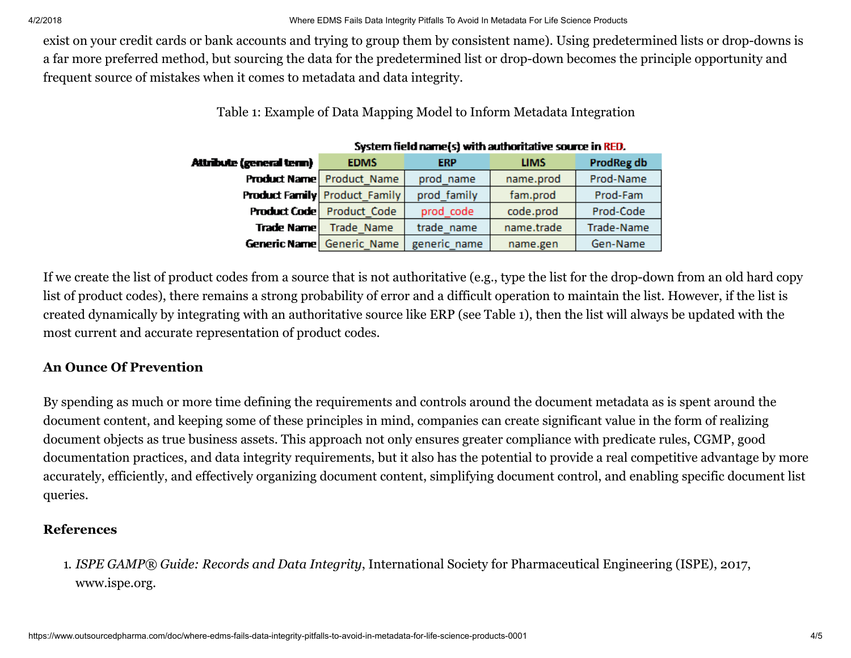exist on your credit cards or bank accounts and trying to group them by consistent name). Using predetermined lists or drop-downs is a far more preferred method, but sourcing the data for the predetermined list or drop-down becomes the principle opportunity and frequent source of mistakes when it comes to metadata and data integrity.

# Table 1: Example of Data Mapping Model to Inform Metadata Integration

| Attribute (general term) | <b>EDMS</b>                          | <b>ERP</b>   | <b>LIMS</b> | <b>ProdReg db</b> |
|--------------------------|--------------------------------------|--------------|-------------|-------------------|
|                          | <b>Product Name</b> Product Name     | prod name    | name.prod   | Prod-Name         |
|                          | <b>Product Family</b> Product Family | prod family  | fam.prod    | Prod-Fam          |
|                          | <b>Product Code</b> Product Code     | prod code    | code.prod   | Prod-Code         |
| Trade Name               | Trade Name                           | trade name   | name.trade  | Trade-Name        |
|                          | <b>Generic Name</b> Generic Name     | generic name | name.gen    | Gen-Name          |

#### System field name(s) with authoritative source in RED.

If we create the list of product codes from a source that is not authoritative (e.g., type the list for the drop-down from an old hard copy list of product codes), there remains a strong probability of error and a difficult operation to maintain the list. However, if the list is created dynamically by integrating with an authoritative source like ERP (see Table 1), then the list will always be updated with the most current and accurate representation of product codes.

## An Ounce Of Prevention

By spending as much or more time defining the requirements and controls around the document metadata as is spent around the document content, and keeping some of these principles in mind, companies can create significant value in the form of realizing document objects as true business assets. This approach not only ensures greater compliance with predicate rules, CGMP, good documentation practices, and data integrity requirements, but it also has the potential to provide a real competitive advantage by more accurately, efficiently, and effectively organizing document content, simplifying document control, and enabling specific document list queries.

## References

1. *ISPE GAMP® Guide: Records and Data Integrity*, International Society for Pharmaceutical Engineering (ISPE), 2017, www.ispe.org.